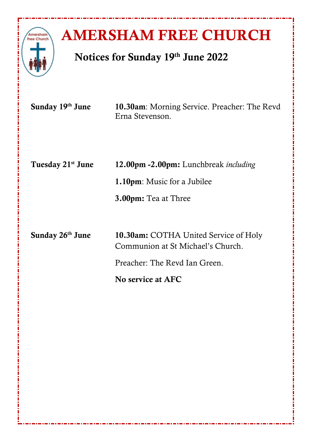

# **AMERSHAM FREE CHURCH**

## **Notices for Sunday 19 th June 2022**

| Sunday 19th June              | 10.30am: Morning Service. Preacher: The Revd<br>Erna Stevenson.            |
|-------------------------------|----------------------------------------------------------------------------|
| Tuesday 21 <sup>st</sup> June | 12.00pm -2.00pm: Lunchbreak <i>including</i>                               |
|                               | <b>1.10pm</b> : Music for a Jubilee                                        |
|                               | <b>3.00pm:</b> Tea at Three                                                |
|                               |                                                                            |
| Sunday 26 <sup>th</sup> June  | 10.30am: COTHA United Service of Holy<br>Communion at St Michael's Church. |
|                               | Preacher: The Revd Ian Green.                                              |
|                               | No service at AFC                                                          |
|                               |                                                                            |